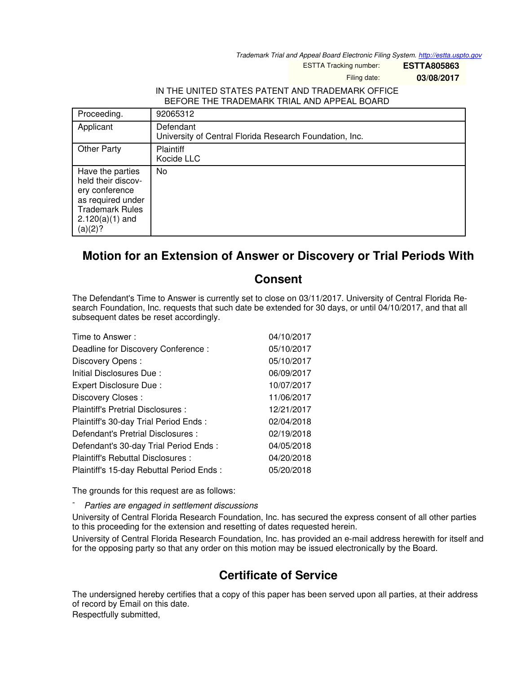*Trademark Trial and Appeal Board Electronic Filing System. <http://estta.uspto.gov>*

ESTTA Tracking number: **ESTTA805863**

Filing date: **03/08/2017**

## IN THE UNITED STATES PATENT AND TRADEMARK OFFICE BEFORE THE TRADEMARK TRIAL AND APPEAL BOARD

| Proceeding.                                                                                                                             | 92065312                                                             |
|-----------------------------------------------------------------------------------------------------------------------------------------|----------------------------------------------------------------------|
| Applicant                                                                                                                               | Defendant<br>University of Central Florida Research Foundation, Inc. |
| <b>Other Party</b>                                                                                                                      | <b>Plaintiff</b><br>Kocide LLC                                       |
| Have the parties<br>held their discov-<br>ery conference<br>as required under<br><b>Trademark Rules</b><br>$2.120(a)(1)$ and<br>(a)(2)? | No                                                                   |

## **Motion for an Extension of Answer or Discovery or Trial Periods With**

## **Consent**

The Defendant's Time to Answer is currently set to close on 03/11/2017. University of Central Florida Research Foundation, Inc. requests that such date be extended for 30 days, or until 04/10/2017, and that all subsequent dates be reset accordingly.

| Time to Answer:                          | 04/10/2017 |
|------------------------------------------|------------|
| Deadline for Discovery Conference:       | 05/10/2017 |
| Discovery Opens:                         | 05/10/2017 |
| Initial Disclosures Due:                 | 06/09/2017 |
| Expert Disclosure Due:                   | 10/07/2017 |
| Discovery Closes:                        | 11/06/2017 |
| Plaintiff's Pretrial Disclosures :       | 12/21/2017 |
| Plaintiff's 30-day Trial Period Ends:    | 02/04/2018 |
| Defendant's Pretrial Disclosures :       | 02/19/2018 |
| Defendant's 30-day Trial Period Ends:    | 04/05/2018 |
| Plaintiff's Rebuttal Disclosures:        | 04/20/2018 |
| Plaintiff's 15-day Rebuttal Period Ends: | 05/20/2018 |

The grounds for this request are as follows:

- *Parties are engaged in settlement discussions*

University of Central Florida Research Foundation, Inc. has secured the express consent of all other parties to this proceeding for the extension and resetting of dates requested herein.

University of Central Florida Research Foundation, Inc. has provided an e-mail address herewith for itself and for the opposing party so that any order on this motion may be issued electronically by the Board.

## **Certificate of Service**

The undersigned hereby certifies that a copy of this paper has been served upon all parties, at their address of record by Email on this date.

Respectfully submitted,